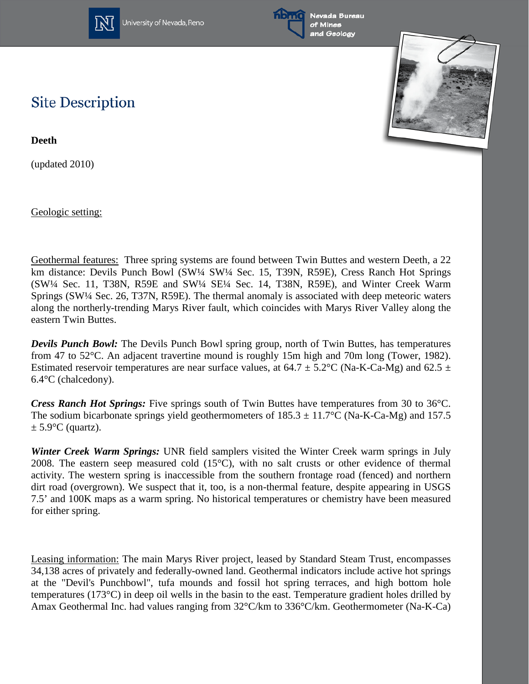

University of Nevada, Reno





## **Site Description**

**Deeth**

(updated 2010)

Geologic setting:

Geothermal features: Three spring systems are found between Twin Buttes and western Deeth, a 22 km distance: Devils Punch Bowl (SW¼ SW¼ Sec. 15, T39N, R59E), Cress Ranch Hot Springs (SW¼ Sec. 11, T38N, R59E and SW¼ SE¼ Sec. 14, T38N, R59E), and Winter Creek Warm Springs (SW¼ Sec. 26, T37N, R59E). The thermal anomaly is associated with deep meteoric waters along the northerly-trending Marys River fault, which coincides with Marys River Valley along the eastern Twin Buttes.

*Devils Punch Bowl:* The Devils Punch Bowl spring group, north of Twin Buttes, has temperatures from 47 to 52°C. An adjacent travertine mound is roughly 15m high and 70m long (Tower, 1982). Estimated reservoir temperatures are near surface values, at  $64.7 \pm 5.2$ °C (Na-K-Ca-Mg) and  $62.5 \pm 1.5$ 6.4°C (chalcedony).

*Cress Ranch Hot Springs:* Five springs south of Twin Buttes have temperatures from 30 to 36°C. The sodium bicarbonate springs yield geothermometers of  $185.3 \pm 11.7$ °C (Na-K-Ca-Mg) and 157.5  $\pm$  5.9 $\degree$ C (quartz).

*Winter Creek Warm Springs:* UNR field samplers visited the Winter Creek warm springs in July 2008. The eastern seep measured cold (15°C), with no salt crusts or other evidence of thermal activity. The western spring is inaccessible from the southern frontage road (fenced) and northern dirt road (overgrown). We suspect that it, too, is a non-thermal feature, despite appearing in USGS 7.5' and 100K maps as a warm spring. No historical temperatures or chemistry have been measured for either spring.

Leasing information: The main Marys River project, leased by Standard Steam Trust, encompasses 34,138 acres of privately and federally-owned land. Geothermal indicators include active hot springs at the "Devil's Punchbowl", tufa mounds and fossil hot spring terraces, and high bottom hole temperatures (173°C) in deep oil wells in the basin to the east. Temperature gradient holes drilled by Amax Geothermal Inc. had values ranging from 32°C/km to 336°C/km. Geothermometer (Na-K-Ca)